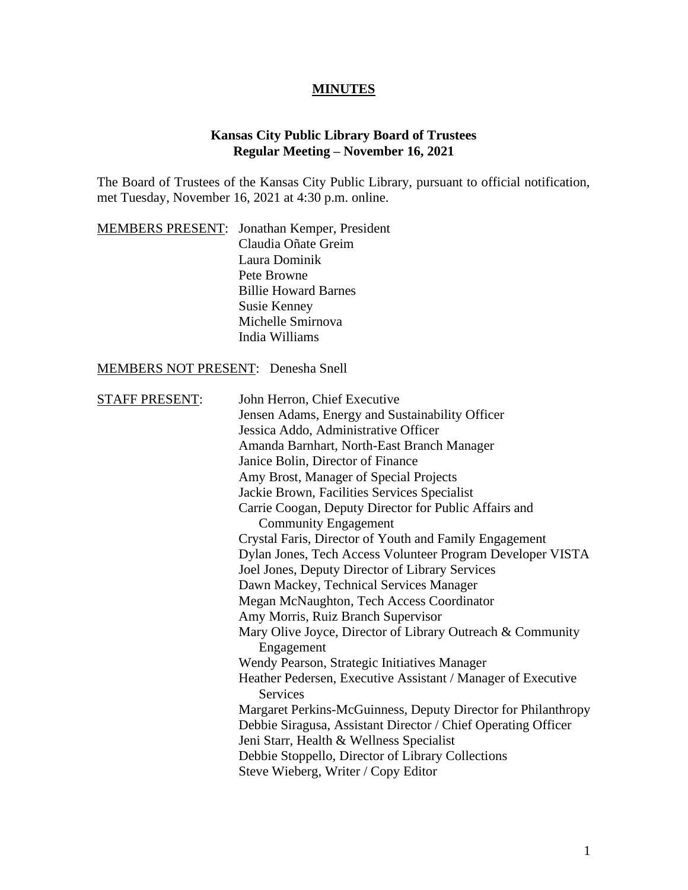## **MINUTES**

## **Kansas City Public Library Board of Trustees Regular Meeting – November 16, 2021**

The Board of Trustees of the Kansas City Public Library, pursuant to official notification, met Tuesday, November 16, 2021 at 4:30 p.m. online.

|  | MEMBERS PRESENT: Jonathan Kemper, President |
|--|---------------------------------------------|
|  | Claudia Oñate Greim                         |
|  | Laura Dominik                               |
|  | Pete Browne                                 |
|  | <b>Billie Howard Barnes</b>                 |
|  | <b>Susie Kenney</b>                         |
|  | Michelle Smirnova                           |
|  | India Williams                              |

# MEMBERS NOT PRESENT: Denesha Snell

| <b>STAFF PRESENT:</b> | John Herron, Chief Executive                                                    |
|-----------------------|---------------------------------------------------------------------------------|
|                       | Jensen Adams, Energy and Sustainability Officer                                 |
|                       | Jessica Addo, Administrative Officer                                            |
|                       | Amanda Barnhart, North-East Branch Manager                                      |
|                       | Janice Bolin, Director of Finance                                               |
|                       | Amy Brost, Manager of Special Projects                                          |
|                       | Jackie Brown, Facilities Services Specialist                                    |
|                       | Carrie Coogan, Deputy Director for Public Affairs and                           |
|                       | <b>Community Engagement</b>                                                     |
|                       | Crystal Faris, Director of Youth and Family Engagement                          |
|                       | Dylan Jones, Tech Access Volunteer Program Developer VISTA                      |
|                       | Joel Jones, Deputy Director of Library Services                                 |
|                       | Dawn Mackey, Technical Services Manager                                         |
|                       | Megan McNaughton, Tech Access Coordinator                                       |
|                       | Amy Morris, Ruiz Branch Supervisor                                              |
|                       | Mary Olive Joyce, Director of Library Outreach & Community                      |
|                       | Engagement                                                                      |
|                       | Wendy Pearson, Strategic Initiatives Manager                                    |
|                       | Heather Pedersen, Executive Assistant / Manager of Executive<br><b>Services</b> |
|                       | Margaret Perkins-McGuinness, Deputy Director for Philanthropy                   |
|                       | Debbie Siragusa, Assistant Director / Chief Operating Officer                   |
|                       | Jeni Starr, Health & Wellness Specialist                                        |
|                       | Debbie Stoppello, Director of Library Collections                               |
|                       | Steve Wieberg, Writer / Copy Editor                                             |
|                       |                                                                                 |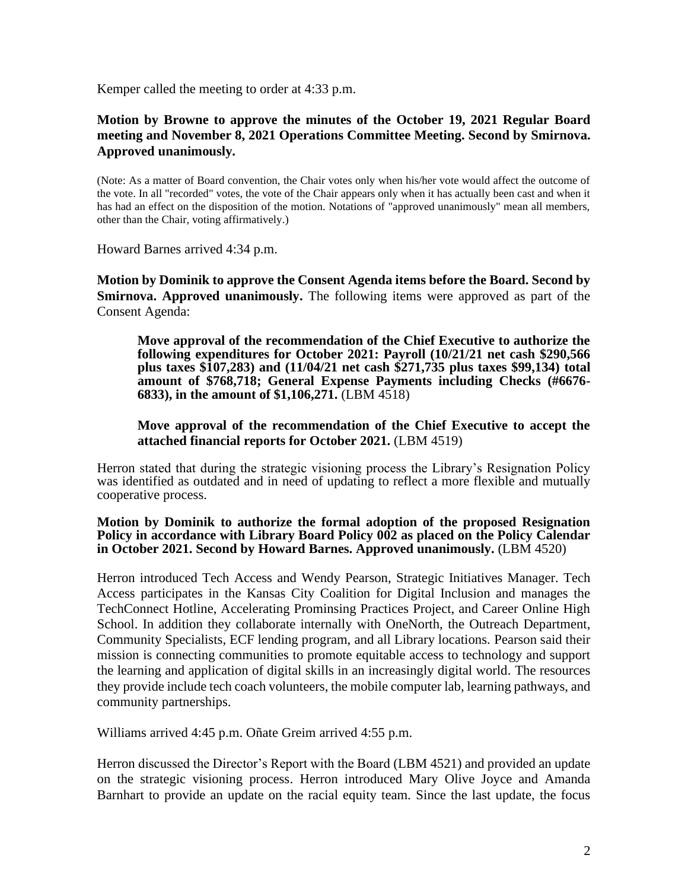Kemper called the meeting to order at 4:33 p.m.

#### **Motion by Browne to approve the minutes of the October 19, 2021 Regular Board meeting and November 8, 2021 Operations Committee Meeting. Second by Smirnova. Approved unanimously.**

(Note: As a matter of Board convention, the Chair votes only when his/her vote would affect the outcome of the vote. In all "recorded" votes, the vote of the Chair appears only when it has actually been cast and when it has had an effect on the disposition of the motion. Notations of "approved unanimously" mean all members, other than the Chair, voting affirmatively.)

Howard Barnes arrived 4:34 p.m.

**Motion by Dominik to approve the Consent Agenda items before the Board. Second by Smirnova. Approved unanimously.** The following items were approved as part of the Consent Agenda:

**Move approval of the recommendation of the Chief Executive to authorize the following expenditures for October 2021: Payroll (10/21/21 net cash \$290,566 plus taxes \$107,283) and (11/04/21 net cash \$271,735 plus taxes \$99,134) total amount of \$768,718; General Expense Payments including Checks (#6676- 6833), in the amount of \$1,106,271.** (LBM 4518)

#### **Move approval of the recommendation of the Chief Executive to accept the attached financial reports for October 2021.** (LBM 4519)

Herron stated that during the strategic visioning process the Library's Resignation Policy was identified as outdated and in need of updating to reflect a more flexible and mutually cooperative process.

#### **Motion by Dominik to authorize the formal adoption of the proposed Resignation Policy in accordance with Library Board Policy 002 as placed on the Policy Calendar in October 2021. Second by Howard Barnes. Approved unanimously.** (LBM 4520)

Herron introduced Tech Access and Wendy Pearson, Strategic Initiatives Manager. Tech Access participates in the Kansas City Coalition for Digital Inclusion and manages the TechConnect Hotline, Accelerating Prominsing Practices Project, and Career Online High School. In addition they collaborate internally with OneNorth, the Outreach Department, Community Specialists, ECF lending program, and all Library locations. Pearson said their mission is connecting communities to promote equitable access to technology and support the learning and application of digital skills in an increasingly digital world. The resources they provide include tech coach volunteers, the mobile computer lab, learning pathways, and community partnerships.

Williams arrived 4:45 p.m. Oñate Greim arrived 4:55 p.m.

Herron discussed the Director's Report with the Board (LBM 4521) and provided an update on the strategic visioning process. Herron introduced Mary Olive Joyce and Amanda Barnhart to provide an update on the racial equity team. Since the last update, the focus